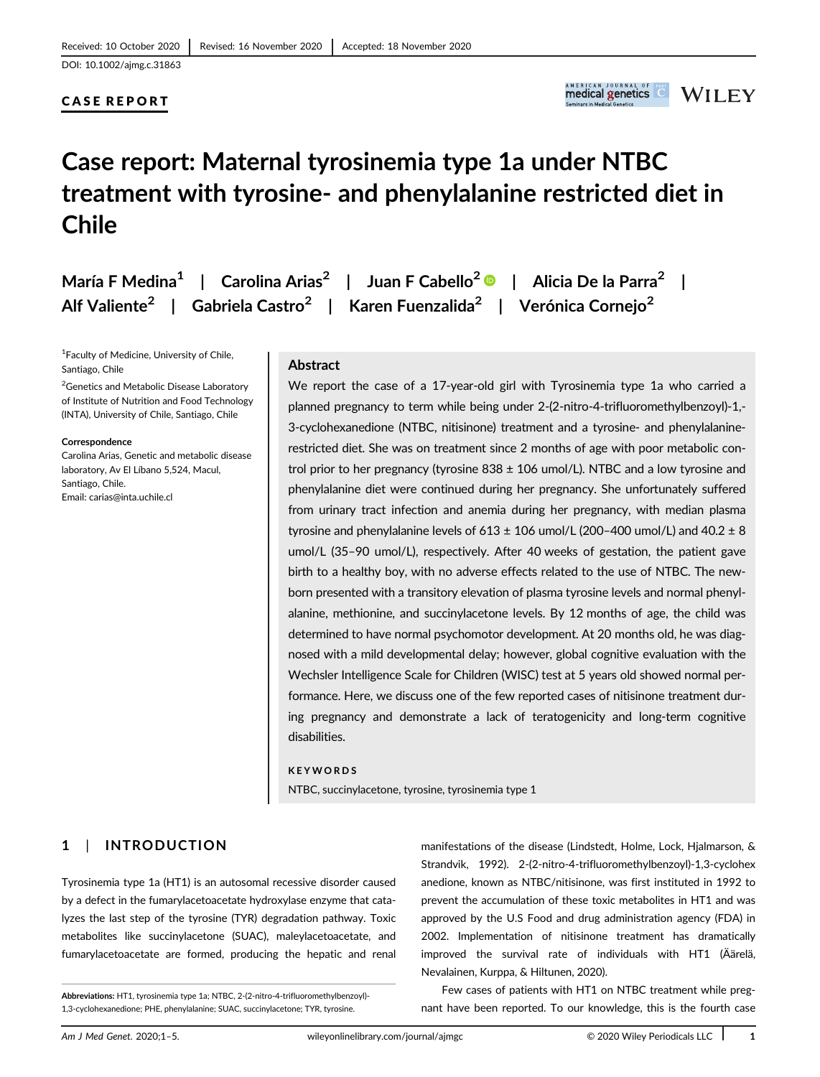DOI: 10.1002/ajmg.c.31863

# CASE REPORT



# Case report: Maternal tyrosinemia type 1a under NTBC treatment with tyrosine- and phenylalanine restricted diet in Chile

|  | María F Medina <sup>1</sup>   Carolina Arias <sup>2</sup>   Juan F Cabello <sup>2</sup> ©                                | $\,$ . $\,$ Alicia De la Parra $^2$ |
|--|--------------------------------------------------------------------------------------------------------------------------|-------------------------------------|
|  | Alf Valiente <sup>2</sup>   Gabriela Castro <sup>2</sup>   Karen Fuenzalida <sup>2</sup>   Verónica Cornejo <sup>2</sup> |                                     |

<sup>1</sup> Faculty of Medicine, University of Chile, Santiago, Chile

<sup>2</sup>Genetics and Metabolic Disease Laboratory of Institute of Nutrition and Food Technology (INTA), University of Chile, Santiago, Chile

**Correspondence** 

Carolina Arias, Genetic and metabolic disease laboratory, Av El Líbano 5,524, Macul, Santiago, Chile. Email: [carias@inta.uchile.cl](mailto:carias@inta.uchile.cl)

## Abstract

We report the case of a 17-year-old girl with Tyrosinemia type 1a who carried a planned pregnancy to term while being under 2-(2-nitro-4-trifluoromethylbenzoyl)-1,- 3-cyclohexanedione (NTBC, nitisinone) treatment and a tyrosine- and phenylalaninerestricted diet. She was on treatment since 2 months of age with poor metabolic control prior to her pregnancy (tyrosine  $838 \pm 106$  umol/L). NTBC and a low tyrosine and phenylalanine diet were continued during her pregnancy. She unfortunately suffered from urinary tract infection and anemia during her pregnancy, with median plasma tyrosine and phenylalanine levels of  $613 \pm 106$  umol/L (200-400 umol/L) and  $40.2 \pm 8$ umol/L (35–90 umol/L), respectively. After 40 weeks of gestation, the patient gave birth to a healthy boy, with no adverse effects related to the use of NTBC. The newborn presented with a transitory elevation of plasma tyrosine levels and normal phenylalanine, methionine, and succinylacetone levels. By 12 months of age, the child was determined to have normal psychomotor development. At 20 months old, he was diagnosed with a mild developmental delay; however, global cognitive evaluation with the Wechsler Intelligence Scale for Children (WISC) test at 5 years old showed normal performance. Here, we discuss one of the few reported cases of nitisinone treatment during pregnancy and demonstrate a lack of teratogenicity and long-term cognitive disabilities.

#### KEYWORDS

NTBC, succinylacetone, tyrosine, tyrosinemia type 1

# 1 | INTRODUCTION

Tyrosinemia type 1a (HT1) is an autosomal recessive disorder caused by a defect in the fumarylacetoacetate hydroxylase enzyme that catalyzes the last step of the tyrosine (TYR) degradation pathway. Toxic metabolites like succinylacetone (SUAC), maleylacetoacetate, and fumarylacetoacetate are formed, producing the hepatic and renal

manifestations of the disease (Lindstedt, Holme, Lock, Hjalmarson, & Strandvik, 1992). 2-(2-nitro-4-trifluoromethylbenzoyl)-1,3-cyclohex anedione, known as NTBC/nitisinone, was first instituted in 1992 to prevent the accumulation of these toxic metabolites in HT1 and was approved by the U.S Food and drug administration agency (FDA) in 2002. Implementation of nitisinone treatment has dramatically improved the survival rate of individuals with HT1 (Äärelä, Nevalainen, Kurppa, & Hiltunen, 2020).

Few cases of patients with HT1 on NTBC treatment while pregnant have been reported. To our knowledge, this is the fourth case

Abbreviations: HT1, tyrosinemia type 1a; NTBC, 2-(2-nitro-4-trifluoromethylbenzoyl)- 1,3-cyclohexanedione; PHE, phenylalanine; SUAC, succinylacetone; TYR, tyrosine.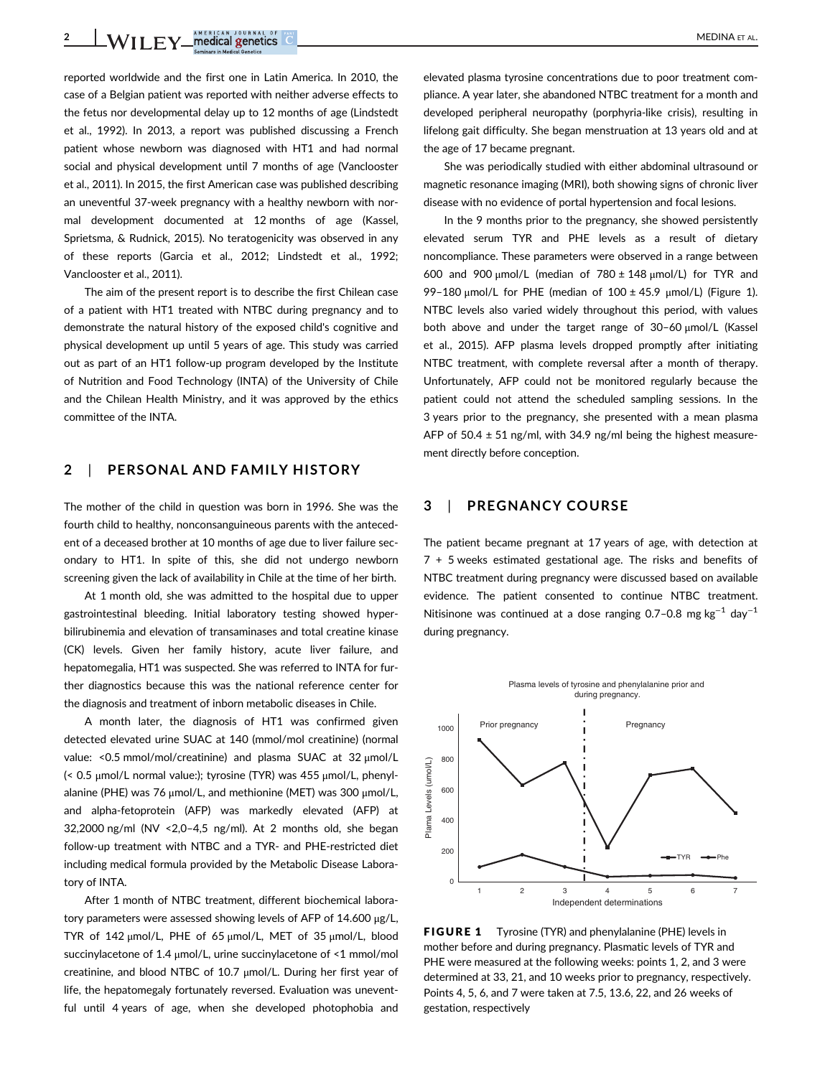2 WILEY medical genetics  $\circ$ 

reported worldwide and the first one in Latin America. In 2010, the case of a Belgian patient was reported with neither adverse effects to the fetus nor developmental delay up to 12 months of age (Lindstedt et al., 1992). In 2013, a report was published discussing a French patient whose newborn was diagnosed with HT1 and had normal social and physical development until 7 months of age (Vanclooster et al., 2011). In 2015, the first American case was published describing an uneventful 37-week pregnancy with a healthy newborn with normal development documented at 12 months of age (Kassel, Sprietsma, & Rudnick, 2015). No teratogenicity was observed in any of these reports (Garcia et al., 2012; Lindstedt et al., 1992; Vanclooster et al., 2011).

The aim of the present report is to describe the first Chilean case of a patient with HT1 treated with NTBC during pregnancy and to demonstrate the natural history of the exposed child's cognitive and physical development up until 5 years of age. This study was carried out as part of an HT1 follow-up program developed by the Institute of Nutrition and Food Technology (INTA) of the University of Chile and the Chilean Health Ministry, and it was approved by the ethics committee of the INTA.

## 2 | PERSONAL AND FAMILY HISTORY

The mother of the child in question was born in 1996. She was the fourth child to healthy, nonconsanguineous parents with the antecedent of a deceased brother at 10 months of age due to liver failure secondary to HT1. In spite of this, she did not undergo newborn screening given the lack of availability in Chile at the time of her birth.

At 1 month old, she was admitted to the hospital due to upper gastrointestinal bleeding. Initial laboratory testing showed hyperbilirubinemia and elevation of transaminases and total creatine kinase (CK) levels. Given her family history, acute liver failure, and hepatomegalia, HT1 was suspected. She was referred to INTA for further diagnostics because this was the national reference center for the diagnosis and treatment of inborn metabolic diseases in Chile.

A month later, the diagnosis of HT1 was confirmed given detected elevated urine SUAC at 140 (mmol/mol creatinine) (normal value: <0.5 mmol/mol/creatinine) and plasma SUAC at 32 μmol/L (< 0.5 μmol/L normal value:); tyrosine (TYR) was 455 μmol/L, phenylalanine (PHE) was 76 μmol/L, and methionine (MET) was 300 μmol/L, and alpha-fetoprotein (AFP) was markedly elevated (AFP) at 32,2000 ng/ml (NV <2,0–4,5 ng/ml). At 2 months old, she began follow-up treatment with NTBC and a TYR- and PHE-restricted diet including medical formula provided by the Metabolic Disease Laboratory of INTA.

After 1 month of NTBC treatment, different biochemical laboratory parameters were assessed showing levels of AFP of 14.600 μg/L, TYR of 142 μmol/L, PHE of 65 μmol/L, MET of 35 μmol/L, blood succinylacetone of 1.4 μmol/L, urine succinylacetone of <1 mmol/mol creatinine, and blood NTBC of 10.7 μmol/L. During her first year of life, the hepatomegaly fortunately reversed. Evaluation was uneventful until 4 years of age, when she developed photophobia and

elevated plasma tyrosine concentrations due to poor treatment compliance. A year later, she abandoned NTBC treatment for a month and developed peripheral neuropathy (porphyria-like crisis), resulting in lifelong gait difficulty. She began menstruation at 13 years old and at the age of 17 became pregnant.

She was periodically studied with either abdominal ultrasound or magnetic resonance imaging (MRI), both showing signs of chronic liver disease with no evidence of portal hypertension and focal lesions.

In the 9 months prior to the pregnancy, she showed persistently elevated serum TYR and PHE levels as a result of dietary noncompliance. These parameters were observed in a range between 600 and 900  $\mu$ mol/L (median of 780  $\pm$  148  $\mu$ mol/L) for TYR and 99-180 μmol/L for PHE (median of  $100 \pm 45.9$  μmol/L) (Figure 1). NTBC levels also varied widely throughout this period, with values both above and under the target range of 30–60 μmol/L (Kassel et al., 2015). AFP plasma levels dropped promptly after initiating NTBC treatment, with complete reversal after a month of therapy. Unfortunately, AFP could not be monitored regularly because the patient could not attend the scheduled sampling sessions. In the 3 years prior to the pregnancy, she presented with a mean plasma AFP of  $50.4 \pm 51$  ng/ml, with 34.9 ng/ml being the highest measurement directly before conception.

#### 3 | PREGNANCY COURSE

The patient became pregnant at 17 years of age, with detection at 7 + 5 weeks estimated gestational age. The risks and benefits of NTBC treatment during pregnancy were discussed based on available evidence. The patient consented to continue NTBC treatment. Nitisinone was continued at a dose ranging 0.7–0.8 mg kg<sup>-1</sup> day<sup>-1</sup> during pregnancy.



FIGURE 1 Tyrosine (TYR) and phenylalanine (PHE) levels in mother before and during pregnancy. Plasmatic levels of TYR and PHE were measured at the following weeks: points 1, 2, and 3 were determined at 33, 21, and 10 weeks prior to pregnancy, respectively. Points 4, 5, 6, and 7 were taken at 7.5, 13.6, 22, and 26 weeks of gestation, respectively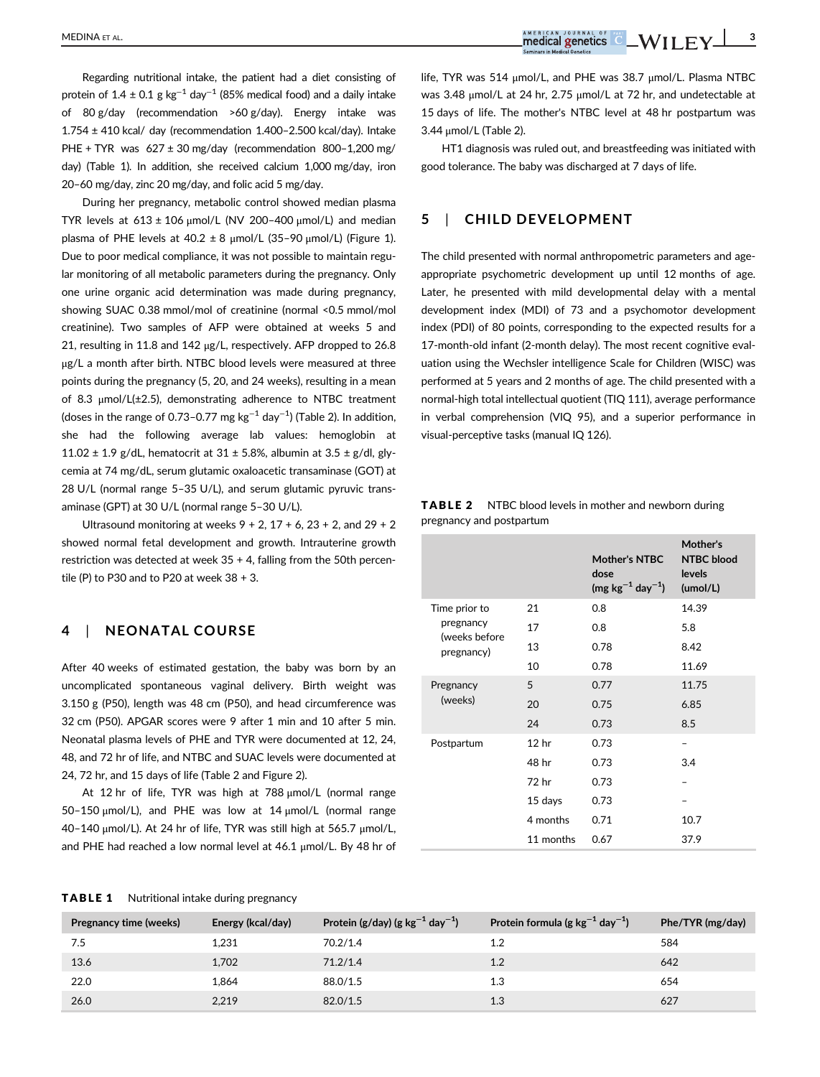Regarding nutritional intake, the patient had a diet consisting of protein of 1.4 ± 0.1 g kg<sup>-1</sup> day<sup>-1</sup> (85% medical food) and a daily intake of 80 g/day (recommendation >60 g/day). Energy intake was  $1.754 \pm 410$  kcal/ day (recommendation  $1.400 - 2.500$  kcal/day). Intake PHE + TYR was 627 ± 30 mg/day (recommendation 800–1,200 mg/ day) (Table 1). In addition, she received calcium 1,000 mg/day, iron 20–60 mg/day, zinc 20 mg/day, and folic acid 5 mg/day.

During her pregnancy, metabolic control showed median plasma TYR levels at  $613 \pm 106$   $\mu$ mol/L (NV 200-400  $\mu$ mol/L) and median plasma of PHE levels at  $40.2 \pm 8$  µmol/L (35-90 µmol/L) (Figure 1). Due to poor medical compliance, it was not possible to maintain regular monitoring of all metabolic parameters during the pregnancy. Only one urine organic acid determination was made during pregnancy, showing SUAC 0.38 mmol/mol of creatinine (normal <0.5 mmol/mol creatinine). Two samples of AFP were obtained at weeks 5 and 21, resulting in 11.8 and 142 μg/L, respectively. AFP dropped to 26.8 μg/L a month after birth. NTBC blood levels were measured at three points during the pregnancy (5, 20, and 24 weeks), resulting in a mean of 8.3 μmol/L(±2.5), demonstrating adherence to NTBC treatment (doses in the range of 0.73–0.77 mg kg $^{-1}$  day $^{-1}$ ) (Table 2). In addition, she had the following average lab values: hemoglobin at 11.02  $\pm$  1.9 g/dL, hematocrit at 31  $\pm$  5.8%, albumin at 3.5  $\pm$  g/dl, glycemia at 74 mg/dL, serum glutamic oxaloacetic transaminase (GOT) at 28 U/L (normal range 5–35 U/L), and serum glutamic pyruvic transaminase (GPT) at 30 U/L (normal range 5–30 U/L).

Ultrasound monitoring at weeks  $9 + 2$ ,  $17 + 6$ ,  $23 + 2$ , and  $29 + 2$ showed normal fetal development and growth. Intrauterine growth restriction was detected at week 35 + 4, falling from the 50th percentile (P) to P30 and to P20 at week  $38 + 3$ .

#### 4 | NEONATAL COURSE

After 40 weeks of estimated gestation, the baby was born by an uncomplicated spontaneous vaginal delivery. Birth weight was 3.150 g (P50), length was 48 cm (P50), and head circumference was 32 cm (P50). APGAR scores were 9 after 1 min and 10 after 5 min. Neonatal plasma levels of PHE and TYR were documented at 12, 24, 48, and 72 hr of life, and NTBC and SUAC levels were documented at 24, 72 hr, and 15 days of life (Table 2 and Figure 2).

At 12 hr of life, TYR was high at 788 μmol/L (normal range 50–150 μmol/L), and PHE was low at 14 μmol/L (normal range 40–140 μmol/L). At 24 hr of life, TYR was still high at 565.7 μmol/L, and PHE had reached a low normal level at 46.1 μmol/L. By 48 hr of life, TYR was 514 μmol/L, and PHE was 38.7 μmol/L. Plasma NTBC was 3.48 μmol/L at 24 hr, 2.75 μmol/L at 72 hr, and undetectable at 15 days of life. The mother's NTBC level at 48 hr postpartum was 3.44 μmol/L (Table 2).

HT1 diagnosis was ruled out, and breastfeeding was initiated with good tolerance. The baby was discharged at 7 days of life.

#### 5 | CHILD DEVELOPMENT

The child presented with normal anthropometric parameters and ageappropriate psychometric development up until 12 months of age. Later, he presented with mild developmental delay with a mental development index (MDI) of 73 and a psychomotor development index (PDI) of 80 points, corresponding to the expected results for a 17-month-old infant (2-month delay). The most recent cognitive evaluation using the Wechsler intelligence Scale for Children (WISC) was performed at 5 years and 2 months of age. The child presented with a normal-high total intellectual quotient (TIQ 111), average performance in verbal comprehension (VIQ 95), and a superior performance in visual-perceptive tasks (manual IQ 126).

| <b>TABLE 2</b> | NTBC blood levels in mother and newborn during |
|----------------|------------------------------------------------|
|                | pregnancy and postpartum                       |

|                            |                  | <b>Mother's NTBC</b><br>dose<br>$(mg kg^{-1} day^{-1})$ | Mother's<br><b>NTBC</b> blood<br>levels<br>(umol/L) |
|----------------------------|------------------|---------------------------------------------------------|-----------------------------------------------------|
| Time prior to              | 21               | 0.8                                                     | 14.39                                               |
| pregnancy<br>(weeks before | 17               | 0.8                                                     | 5.8                                                 |
| pregnancy)                 | 13               | 0.78                                                    | 8.42                                                |
|                            | 10               | 0.78                                                    | 11.69                                               |
| Pregnancy                  | 5                | 0.77                                                    | 11.75                                               |
| (weeks)                    | 20               | 0.75                                                    | 6.85                                                |
|                            | 24               | 0.73                                                    | 8.5                                                 |
| Postpartum                 | 12 <sub>hr</sub> | 0.73                                                    |                                                     |
|                            | 48 hr            | 0.73                                                    | 3.4                                                 |
|                            | 72 hr            | 0.73                                                    |                                                     |
|                            | 15 days          | 0.73                                                    |                                                     |
|                            | 4 months         | 0.71                                                    | 10.7                                                |
|                            | 11 months        | 0.67                                                    | 37.9                                                |

|  | <b>TABLE 1</b> |  | Nutritional intake during pregnancy |  |  |  |
|--|----------------|--|-------------------------------------|--|--|--|
|--|----------------|--|-------------------------------------|--|--|--|

| Pregnancy time (weeks) | Energy (kcal/day) | Protein (g/day) (g $kg^{-1}$ day $^{-1}$ ) | Protein formula (g $kg^{-1}$ day <sup>-1</sup> ) | Phe/TYR (mg/day) |
|------------------------|-------------------|--------------------------------------------|--------------------------------------------------|------------------|
| 7.5                    | 1,231             | 70.2/1.4                                   | 1.2                                              | 584              |
| 13.6                   | 1,702             | 71.2/1.4                                   | 1.2                                              | 642              |
| 22.0                   | 1.864             | 88.0/1.5                                   | 1.3                                              | 654              |
| 26.0                   | 2.219             | 82.0/1.5                                   | 1.3                                              | 627              |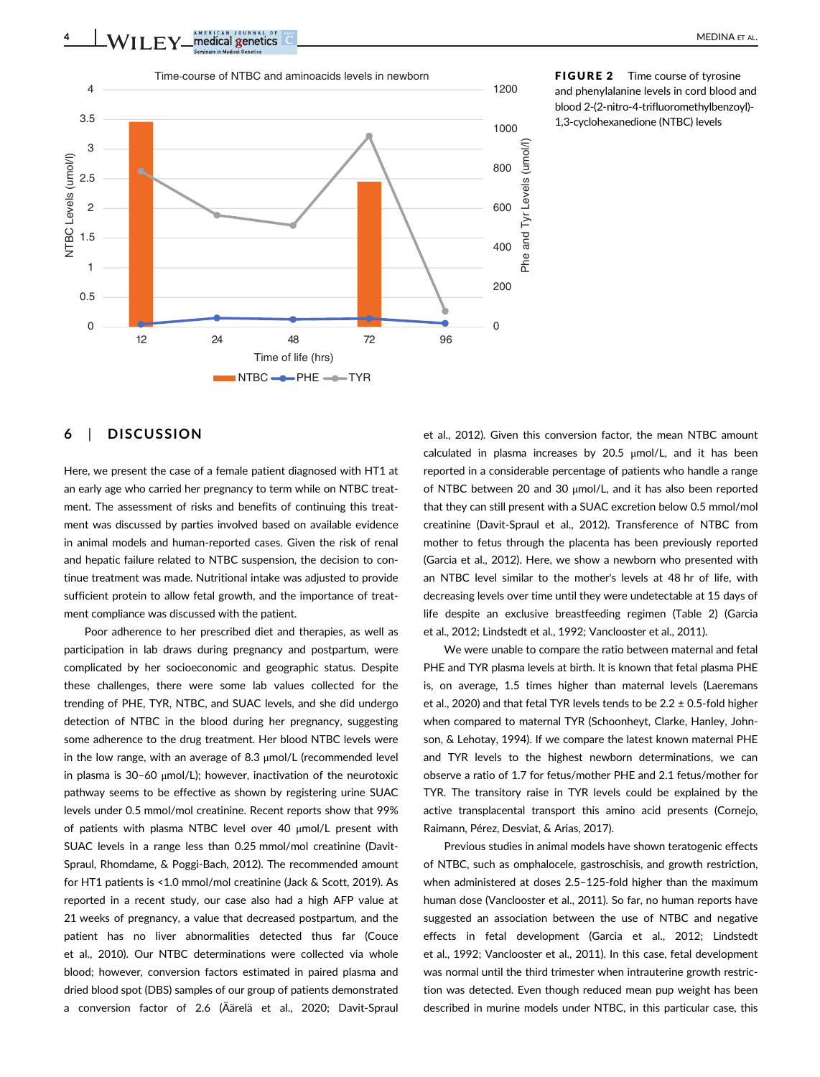4 WILEY medical genetics  $\bullet$ 



FIGURE 2 Time course of tyrosine and phenylalanine levels in cord blood and blood 2-(2-nitro-4-trifluoromethylbenzoyl)- 1,3-cyclohexanedione (NTBC) levels

# 6 | DISCUSSION

Here, we present the case of a female patient diagnosed with HT1 at an early age who carried her pregnancy to term while on NTBC treatment. The assessment of risks and benefits of continuing this treatment was discussed by parties involved based on available evidence in animal models and human-reported cases. Given the risk of renal and hepatic failure related to NTBC suspension, the decision to continue treatment was made. Nutritional intake was adjusted to provide sufficient protein to allow fetal growth, and the importance of treatment compliance was discussed with the patient.

Poor adherence to her prescribed diet and therapies, as well as participation in lab draws during pregnancy and postpartum, were complicated by her socioeconomic and geographic status. Despite these challenges, there were some lab values collected for the trending of PHE, TYR, NTBC, and SUAC levels, and she did undergo detection of NTBC in the blood during her pregnancy, suggesting some adherence to the drug treatment. Her blood NTBC levels were in the low range, with an average of 8.3 μmol/L (recommended level in plasma is 30–60 μmol/L); however, inactivation of the neurotoxic pathway seems to be effective as shown by registering urine SUAC levels under 0.5 mmol/mol creatinine. Recent reports show that 99% of patients with plasma NTBC level over 40 μmol/L present with SUAC levels in a range less than 0.25 mmol/mol creatinine (Davit-Spraul, Rhomdame, & Poggi-Bach, 2012). The recommended amount for HT1 patients is <1.0 mmol/mol creatinine (Jack & Scott, 2019). As reported in a recent study, our case also had a high AFP value at 21 weeks of pregnancy, a value that decreased postpartum, and the patient has no liver abnormalities detected thus far (Couce et al., 2010). Our NTBC determinations were collected via whole blood; however, conversion factors estimated in paired plasma and dried blood spot (DBS) samples of our group of patients demonstrated a conversion factor of 2.6 (Äärelä et al., 2020; Davit-Spraul et al., 2012). Given this conversion factor, the mean NTBC amount calculated in plasma increases by 20.5 μmol/L, and it has been reported in a considerable percentage of patients who handle a range of NTBC between 20 and 30 μmol/L, and it has also been reported that they can still present with a SUAC excretion below 0.5 mmol/mol creatinine (Davit-Spraul et al., 2012). Transference of NTBC from mother to fetus through the placenta has been previously reported (Garcia et al., 2012). Here, we show a newborn who presented with an NTBC level similar to the mother's levels at 48 hr of life, with decreasing levels over time until they were undetectable at 15 days of life despite an exclusive breastfeeding regimen (Table 2) (Garcia et al., 2012; Lindstedt et al., 1992; Vanclooster et al., 2011).

We were unable to compare the ratio between maternal and fetal PHE and TYR plasma levels at birth. It is known that fetal plasma PHE is, on average, 1.5 times higher than maternal levels (Laeremans et al., 2020) and that fetal TYR levels tends to be  $2.2 \pm 0.5$ -fold higher when compared to maternal TYR (Schoonheyt, Clarke, Hanley, Johnson, & Lehotay, 1994). If we compare the latest known maternal PHE and TYR levels to the highest newborn determinations, we can observe a ratio of 1.7 for fetus/mother PHE and 2.1 fetus/mother for TYR. The transitory raise in TYR levels could be explained by the active transplacental transport this amino acid presents (Cornejo, Raimann, Pérez, Desviat, & Arias, 2017).

Previous studies in animal models have shown teratogenic effects of NTBC, such as omphalocele, gastroschisis, and growth restriction, when administered at doses 2.5–125-fold higher than the maximum human dose (Vanclooster et al., 2011). So far, no human reports have suggested an association between the use of NTBC and negative effects in fetal development (Garcia et al., 2012; Lindstedt et al., 1992; Vanclooster et al., 2011). In this case, fetal development was normal until the third trimester when intrauterine growth restriction was detected. Even though reduced mean pup weight has been described in murine models under NTBC, in this particular case, this